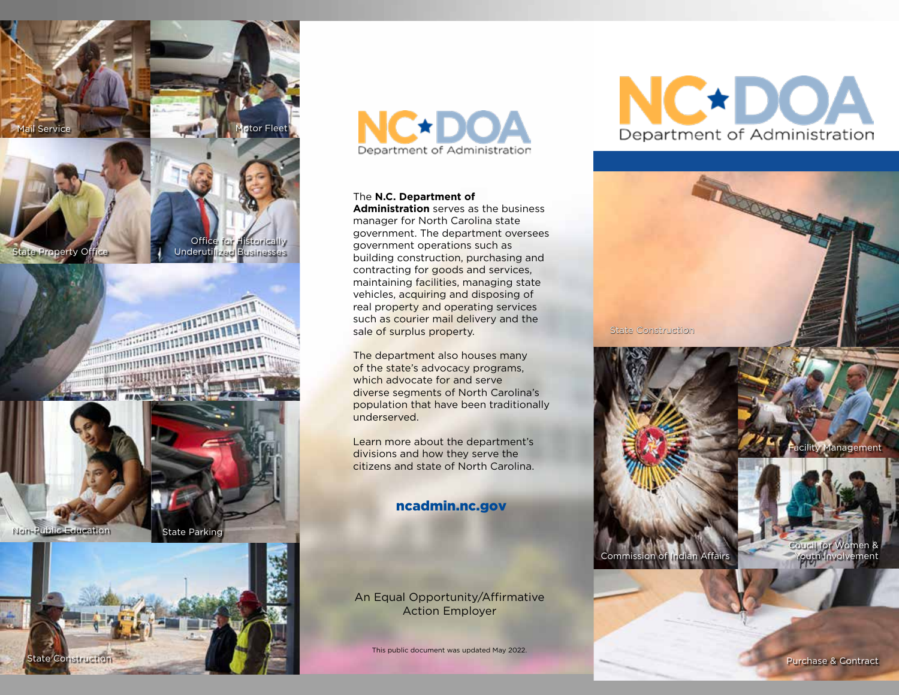

## <u>The Marian Service Service Service Service Service Service Service Service Service Service Service Service Se</u> **ANTIQUE DE L'ANGLES DE LA CALIFETTE DE LA CALIFETTE DE LA CALIFETTE DE LA CALIFETTE DE LA CALIFETTE DE LA CAL** a and a final party of the contract of the contract of the contract of the contract of the contract of the con<br>A final party of the contract of the contract of the contract of the contract of the contract of the contract WITH THE THEFT **TERTHALL**





# **NC\*DC** Department of Administration

#### The **N.C. Department of**

**Administration** serves as the business manager for North Carolina state government. The department oversees government operations such as building construction, purchasing and contracting for goods and services, maintaining facilities, managing state vehicles, acquiring and disposing of real property and operating services such as courier mail delivery and the sale of surplus property.

The department also houses many of the state's advocacy programs, which advocate for and serve diverse segments of North Carolina's population that have been traditionally underserved.

Learn more about the department's divisions and how they serve the citizens and state of North Carolina.

#### ncadmin.nc.gov

An Equal Opportunity/Affirmative Action Employer

This public document was updated May 2022.